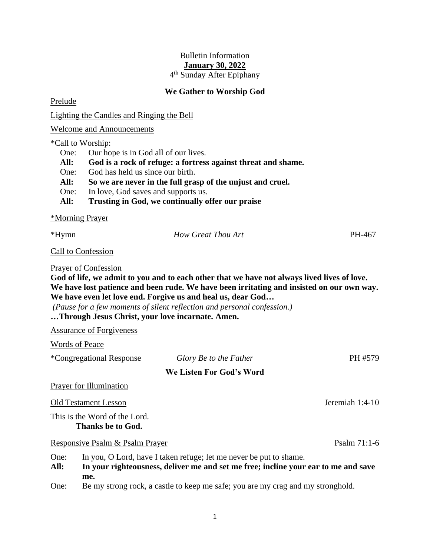## Bulletin Information **January 30, 2022**

4 th Sunday After Epiphany

## **We Gather to Worship God**

Prelude

Lighting the Candles and Ringing the Bell

Welcome and Announcements

\*Call to Worship:

- One: Our hope is in God all of our lives.
- **All: God is a rock of refuge: a fortress against threat and shame.**

One: God has held us since our birth.

- **All: So we are never in the full grasp of the unjust and cruel.**
- One: In love, God saves and supports us.
- **All: Trusting in God, we continually offer our praise**

\*Morning Prayer

\*Hymn *How Great Thou Art* PH-467

Call to Confession

Prayer of Confession

**God of life, we admit to you and to each other that we have not always lived lives of love. We have lost patience and been rude. We have been irritating and insisted on our own way. We have even let love end. Forgive us and heal us, dear God…**

*(Pause for a few moments of silent reflection and personal confession.)* **…Through Jesus Christ, your love incarnate. Amen.**

Assurance of Forgiveness

Words of Peace

|                                 | *Congregational Response                                                                                                                                        | Glory Be to the Father   | PH #579         |  |
|---------------------------------|-----------------------------------------------------------------------------------------------------------------------------------------------------------------|--------------------------|-----------------|--|
|                                 |                                                                                                                                                                 | We Listen For God's Word |                 |  |
|                                 | <b>Prayer for Illumination</b>                                                                                                                                  |                          |                 |  |
|                                 | <b>Old Testament Lesson</b>                                                                                                                                     |                          | Jeremiah 1:4-10 |  |
|                                 | This is the Word of the Lord.<br>Thanks be to God.                                                                                                              |                          |                 |  |
| Responsive Psalm & Psalm Prayer |                                                                                                                                                                 |                          | Psalm 71:1-6    |  |
| One:<br>All:                    | In you, O Lord, have I taken refuge; let me never be put to shame.<br>In your righteousness, deliver me and set me free; incline your ear to me and save<br>me. |                          |                 |  |
| One:                            | Be my strong rock, a castle to keep me safe; you are my crag and my stronghold.                                                                                 |                          |                 |  |